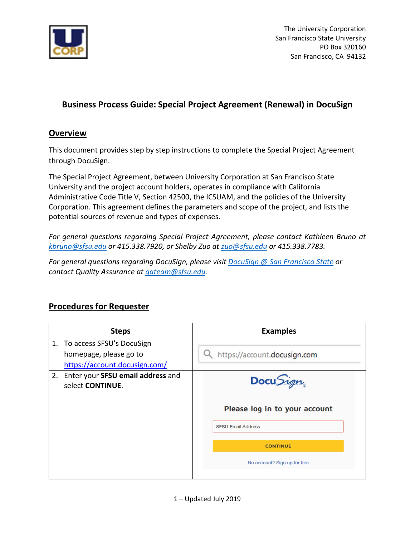

The University Corporation San Francisco State University PO Box 320160 San Francisco, CA 94132

## **Business Process Guide: Special Project Agreement (Renewal) in DocuSign**

## **Overview**

This document provides step by step instructions to complete the Special Project Agreement through DocuSign.

The Special Project Agreement, between University Corporation at San Francisco State University and the project account holders, operates in compliance with California Administrative Code Title V, Section 42500, the ICSUAM, and the policies of the University Corporation. This agreement defines the parameters and scope of the project, and lists the potential sources of revenue and types of expenses.

*For general questions regarding Special Project Agreement, please contact Kathleen Bruno at kbruno@sfsu.edu or 415.338.7920, or Shelby Zuo at [zuo@sfsu.edu](mailto:zuo@sfsu.edu) or 415.338.7783.* 

*For general questions regarding DocuSign, please visi[t DocuSign @ San Francisco State](http://docusign.sfsu.edu/) or contact Quality Assurance at [qateam@sfsu.edu.](mailto:qateam@sfsu.edu)* 

## **Procedures for Requester**

| <b>Steps</b>                                             | <b>Examples</b>               |
|----------------------------------------------------------|-------------------------------|
| 1. To access SFSU's DocuSign                             |                               |
| homepage, please go to                                   | https://account.docusign.com  |
| https://account.docusign.com/                            |                               |
| 2. Enter your SFSU email address and<br>select CONTINUE. | Docu Sign                     |
|                                                          | Please log in to your account |
|                                                          | <b>SFSU Email Address</b>     |
|                                                          | <b>CONTINUE</b>               |
|                                                          | No account? Sign up for free  |
|                                                          |                               |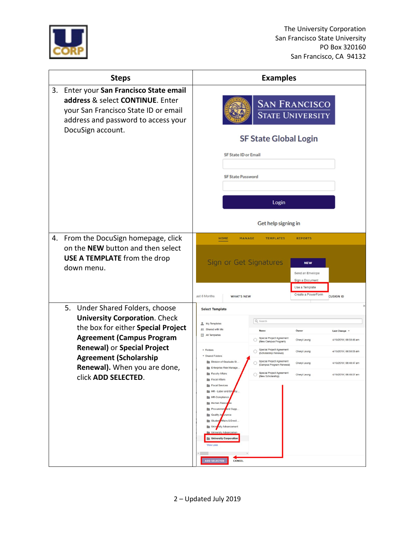

|    | <b>Steps</b>                                                                                                                                                                                                                                                                       | <b>Examples</b>                                                                                                                                                                                                                                                                                                                                                                                                                                                                                                                                                                                                                                                                                                                                                                                                                                                                                                                                                                                     |
|----|------------------------------------------------------------------------------------------------------------------------------------------------------------------------------------------------------------------------------------------------------------------------------------|-----------------------------------------------------------------------------------------------------------------------------------------------------------------------------------------------------------------------------------------------------------------------------------------------------------------------------------------------------------------------------------------------------------------------------------------------------------------------------------------------------------------------------------------------------------------------------------------------------------------------------------------------------------------------------------------------------------------------------------------------------------------------------------------------------------------------------------------------------------------------------------------------------------------------------------------------------------------------------------------------------|
| 3. | Enter your San Francisco State email<br>address & select CONTINUE. Enter<br>your San Francisco State ID or email<br>address and password to access your<br>DocuSign account.                                                                                                       | <b>SAN FRANCISCO</b><br><b>STATE UNIVERSITY</b><br><b>SF State Global Login</b>                                                                                                                                                                                                                                                                                                                                                                                                                                                                                                                                                                                                                                                                                                                                                                                                                                                                                                                     |
|    |                                                                                                                                                                                                                                                                                    | <b>SF State ID or Email</b><br><b>SF State Password</b><br>Login                                                                                                                                                                                                                                                                                                                                                                                                                                                                                                                                                                                                                                                                                                                                                                                                                                                                                                                                    |
|    |                                                                                                                                                                                                                                                                                    | Get help signing in                                                                                                                                                                                                                                                                                                                                                                                                                                                                                                                                                                                                                                                                                                                                                                                                                                                                                                                                                                                 |
|    | 4. From the DocuSign homepage, click<br>on the NEW button and then select<br><b>USE A TEMPLATE</b> from the drop<br>down menu.                                                                                                                                                     | <b>HOME</b><br><b>MANAGE</b><br><b>TEMPLATES</b><br><b>REPORTS</b><br>Sign or Get Signatures<br><b>NEW</b><br>Send an Envelope<br>Sign a Document<br>Use a Template<br>Create a PowerForm<br>ast 6 Months<br><b>CUSIGN ID</b><br><b>WHAT'S NEW</b>                                                                                                                                                                                                                                                                                                                                                                                                                                                                                                                                                                                                                                                                                                                                                  |
|    | 5.<br>Under Shared Folders, choose<br><b>University Corporation. Check</b><br>the box for either Special Project<br><b>Agreement (Campus Program</b><br><b>Renewal) or Special Project</b><br><b>Agreement (Scholarship</b><br>Renewal). When you are done,<br>click ADD SELECTED. | <b>Select Template</b><br>Q Search<br>My Templates<br>as Shared with Me<br>Owner<br>Last Change <b>v</b><br>Name<br>All Templates<br>Special Project Agreement<br>Cheryl Leung<br>4/19/2019   08:50:46 am<br>(New Campus Program)<br>Special Project Agreement<br>$\triangleright$ Folders<br>4/19/2019   08:50:05 am<br>O<br>Cheryl Leung<br>(Scholarship Renewal)<br><b>Shared Folders</b><br>Special Project Agreement<br>Division of Graduate St<br>4/19/2019   08:48:47 am<br>Cheryl Leung<br>(Campus Program Renewal)<br><b>Enterprise Risk Manage.</b><br><b>Faculty Affairs</b><br>4/19/2019   08:48:07 am<br>Cheryl Leung<br>(New Scholarship)<br><b>Fiscal Affairs</b><br><b>Fiscal Services</b><br>HR - Labor and Employ.<br>HR-Compliance<br>Human Resources<br>Procurement and Supp.<br><b>Bar</b><br>Quality Assurance<br>line.<br>Studen Affairs & Enroll<br>University Advancement<br>University Advancemen<br>University Corporation<br><b>View Less</b><br>ADD SELECTED<br>CANCEL |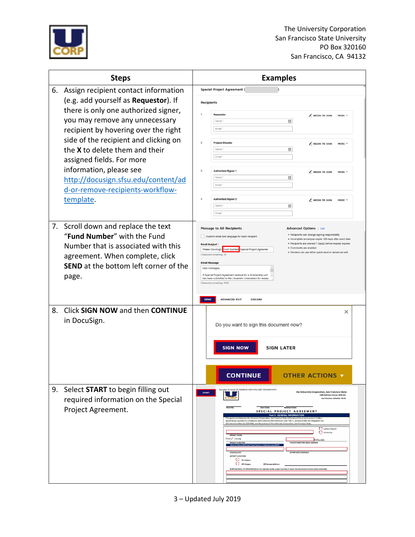

| <b>Steps</b> |                                                                        |                | <b>Examples</b>                                                                                                                                                                                                                            |                                                                                                                                                                     |  |
|--------------|------------------------------------------------------------------------|----------------|--------------------------------------------------------------------------------------------------------------------------------------------------------------------------------------------------------------------------------------------|---------------------------------------------------------------------------------------------------------------------------------------------------------------------|--|
| 6.           | Assign recipient contact information                                   |                | <b>Special Project Agreement (</b>                                                                                                                                                                                                         |                                                                                                                                                                     |  |
|              | (e.g. add yourself as Requestor). If                                   |                | <b>Recipients</b>                                                                                                                                                                                                                          |                                                                                                                                                                     |  |
|              | there is only one authorized signer,                                   |                | Requestor                                                                                                                                                                                                                                  | NEEDS TO SIGN<br>MORE 1                                                                                                                                             |  |
|              | you may remove any unnecessary<br>recipient by hovering over the right |                | Name<br>Email                                                                                                                                                                                                                              | 目                                                                                                                                                                   |  |
|              | side of the recipient and clicking on                                  | $\overline{2}$ | <b>Project Director</b>                                                                                                                                                                                                                    |                                                                                                                                                                     |  |
|              | the X to delete them and their                                         |                | Name                                                                                                                                                                                                                                       | $\ell$ NEEDS TO SIGN<br>MORE T<br>目                                                                                                                                 |  |
|              | assigned fields. For more                                              |                | Email 1                                                                                                                                                                                                                                    |                                                                                                                                                                     |  |
|              | information, please see                                                | 3              | <b>Authorized Signer 1</b>                                                                                                                                                                                                                 | NEEDS TO SIGN<br>MORE V                                                                                                                                             |  |
|              | http://docusign.sfsu.edu/content/ad                                    |                | Name<br>Email                                                                                                                                                                                                                              | 目                                                                                                                                                                   |  |
|              | d-or-remove-recipients-workflow-                                       |                | <b>Authorized Signer 2</b>                                                                                                                                                                                                                 |                                                                                                                                                                     |  |
|              | template.                                                              |                | Name <sup>*</sup>                                                                                                                                                                                                                          | NEEDS TO SIGN<br>MORE T<br>目                                                                                                                                        |  |
|              |                                                                        |                | Email '                                                                                                                                                                                                                                    |                                                                                                                                                                     |  |
|              | 7. Scroll down and replace the text                                    |                | <b>Message to All Recipients</b>                                                                                                                                                                                                           | <b>Advanced Options</b>   Edit                                                                                                                                      |  |
|              | "Fund Number" with the Fund                                            |                | Custom email and language for each recipient<br><b>Email Subject</b>                                                                                                                                                                       | · Recipients can change signing responsibility<br>· Incomplete envelopes expire 180 days after send date<br>· Recipients are warned 7 day(s) before request expires |  |
|              | Number that is associated with this<br>agreement. When complete, click |                | Please DocuSign: Fund Number<br>Special Project Agreemer<br>Charactera remaining: 34                                                                                                                                                       | · Comments are enabled<br>· Senders can use either quick send or advanced edit                                                                                      |  |
|              | <b>SEND</b> at the bottom left corner of the                           |                | <b>Email Message</b><br><b>Dear Colleague</b>                                                                                                                                                                                              |                                                                                                                                                                     |  |
|              | page.                                                                  |                | A Special Project Agreement renewal for a Scholarship unit<br>has been submitted to the University Corporation for review                                                                                                                  |                                                                                                                                                                     |  |
|              |                                                                        |                | Characters remaining: 9452                                                                                                                                                                                                                 |                                                                                                                                                                     |  |
|              |                                                                        | <b>SEND</b>    | <b>ADVANCED EDIT</b><br><b>DISCARD</b>                                                                                                                                                                                                     |                                                                                                                                                                     |  |
| 8.           | Click SIGN NOW and then CONTINUE                                       |                |                                                                                                                                                                                                                                            | ×                                                                                                                                                                   |  |
|              | in DocuSign.                                                           |                | Do you want to sign this document now?                                                                                                                                                                                                     |                                                                                                                                                                     |  |
|              |                                                                        |                |                                                                                                                                                                                                                                            |                                                                                                                                                                     |  |
|              |                                                                        |                | <b>SIGN LATER</b><br><b>SIGN NOW</b>                                                                                                                                                                                                       |                                                                                                                                                                     |  |
|              |                                                                        |                |                                                                                                                                                                                                                                            |                                                                                                                                                                     |  |
|              |                                                                        |                |                                                                                                                                                                                                                                            |                                                                                                                                                                     |  |
|              |                                                                        |                | <b>CONTINUE</b>                                                                                                                                                                                                                            | <b>OTHER ACTIONS</b>                                                                                                                                                |  |
| 9.           | Select START to begin filling out                                      | <b>START</b>   | 3280430-12C9-4782-ADE1-E3A408473A74                                                                                                                                                                                                        | the University Corporation, San Francisco State<br>1600 Holloway Avenue, ADM.361                                                                                    |  |
|              | required information on the Special                                    |                | CORI<br>Fund No.<br>Start Date                                                                                                                                                                                                             | San Francisco, California 94132<br>Renewal Date                                                                                                                     |  |
|              | Project Agreement.                                                     |                | SPECIAL PROJECT AGREEMENT<br><b>Part 1: GENERAL INFORMATION</b><br>oration, San Francisco State (UCorp) and the proj<br>signed below operates in compliance with California Administrative Code Title V. Section 42500, the Integrated CSU |                                                                                                                                                                     |  |
|              |                                                                        |                | Administrative Manual (ICSUAM), and the policies of the University Corporation, San Francisco State                                                                                                                                        | Campus Program<br>O<br>Scholarship                                                                                                                                  |  |
|              |                                                                        |                | <b>PROJECT NAMI</b><br>Cheryl Leung                                                                                                                                                                                                        | @sfsu.edu<br><b>PROJECT DIRECTOR EMAIL ADDRESS</b>                                                                                                                  |  |
|              |                                                                        |                | Must be Tenured/To<br>COLLEGE/UN                                                                                                                                                                                                           | DEPARTMENT/DIVISION                                                                                                                                                 |  |
|              |                                                                        |                | <b>ACTIVITY LOCATION</b><br>$\Box$ On Campus<br>Off Camput<br>Off Campus Address:                                                                                                                                                          |                                                                                                                                                                     |  |
|              |                                                                        |                | URPOSE/GOAL OF PROGRAM (State the objective of this project and how it meets the educational mission of the University):                                                                                                                   |                                                                                                                                                                     |  |
|              |                                                                        |                |                                                                                                                                                                                                                                            |                                                                                                                                                                     |  |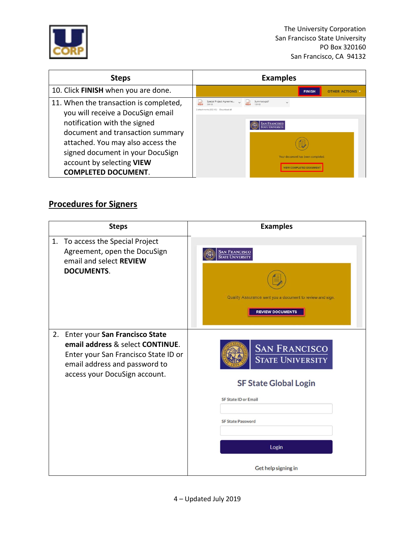

| <b>Steps</b>                                                                | <b>Examples</b>                                                               |
|-----------------------------------------------------------------------------|-------------------------------------------------------------------------------|
| 10. Click FINISH when you are done.                                         | <b>FINISH</b><br><b>OTHER ACTIONS</b>                                         |
| 11. When the transaction is completed,<br>you will receive a DocuSign email | Special Project Agreeme<br>Summary.pdf<br>2 attachments (502 KB) Download all |
| notification with the signed                                                | <b>SAN FRANCISCO</b>                                                          |
| document and transaction summary<br>attached. You may also access the       |                                                                               |
| signed document in your DocuSign                                            | Your document has been completed                                              |
| account by selecting VIEW<br><b>COMPLETED DOCUMENT.</b>                     | <b>VIEW COMPLETED DOCUMEN</b>                                                 |

## **Procedures for Signers**

| <b>Steps</b> |                                                                                                                                                                              | <b>Examples</b>                                                                                                                                                            |  |
|--------------|------------------------------------------------------------------------------------------------------------------------------------------------------------------------------|----------------------------------------------------------------------------------------------------------------------------------------------------------------------------|--|
| 1.           | To access the Special Project<br>Agreement, open the DocuSign<br>email and select REVIEW<br><b>DOCUMENTS.</b>                                                                | <b>SAN FRANCISCO</b><br>STATE UNIVERSITY<br>Quality Assurance sent you a document to review and sign.<br><b>REVIEW DOCUMENTS</b>                                           |  |
| 2.           | Enter your San Francisco State<br>email address & select CONTINUE.<br>Enter your San Francisco State ID or<br>email address and password to<br>access your DocuSign account. | <b>SAN FRANCISCO</b><br><b>STATE UNIVERSITY</b><br><b>SF State Global Login</b><br><b>SF State ID or Email</b><br><b>SF State Password</b><br>Login<br>Get help signing in |  |
|              |                                                                                                                                                                              |                                                                                                                                                                            |  |